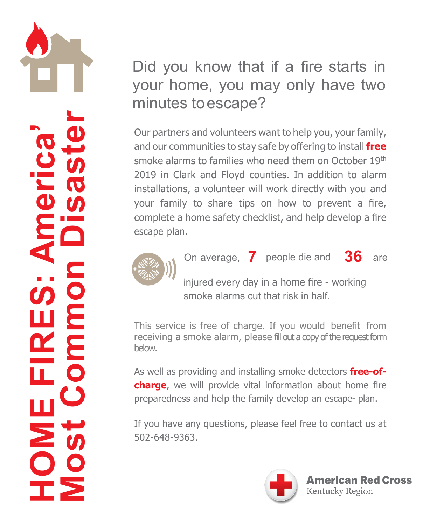**HOMEFR**<u>...</u><br>سا **America ' s Mos t Commo nDisaster**

## Did you know that if a fire starts in your home, you may only have two minutes toescape?

Our partners and volunteers want to help you, your family, and our communities to stay safe by offering to install **free**  smoke alarms to families who need them on October 19th 2019 in Clark and Floyd counties. In addition to alarm installations, a volunteer will work directly with you and your family to share tips on how to prevent a fire, complete a home safety checklist, and help develop a fire escape plan.



On average, **7** people die and **36** are

injured every day in a home fire - working smoke alarms cut that risk in half.

This service is free of charge. If you would benefit from receiving a smoke alarm, please fill out a copy of the request form below.

As well as providing and installing smoke detectors **free-ofcharge**, we will provide vital information about home fire preparedness and help the family develop an escape- plan.

If you have any questions, please feel free to contact us at 502-648-9363.